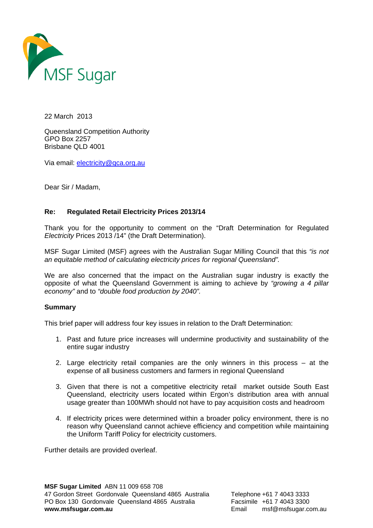

22 March 2013

Queensland Competition Authority GPO Box 2257 Brisbane QLD 4001

Via email: electricity@qca.org.au

Dear Sir / Madam,

## **Re: Regulated Retail Electricity Prices 2013/14**

Thank you for the opportunity to comment on the "Draft Determination for Regulated *Electricity* Prices 2013 /14" (the Draft Determination).

MSF Sugar Limited (MSF) agrees with the Australian Sugar Milling Council that this *"is not an equitable method of calculating electricity prices for regional Queensland".*

We are also concerned that the impact on the Australian sugar industry is exactly the opposite of what the Queensland Government is aiming to achieve by *"growing a 4 pillar economy"* and to *"double food production by 2040".* 

## **Summary**

This brief paper will address four key issues in relation to the Draft Determination:

- 1. Past and future price increases will undermine productivity and sustainability of the entire sugar industry
- 2. Large electricity retail companies are the only winners in this process at the expense of all business customers and farmers in regional Queensland
- 3. Given that there is not a competitive electricity retail market outside South East Queensland, electricity users located within Ergon's distribution area with annual usage greater than 100MWh should not have to pay acquisition costs and headroom
- 4. If electricity prices were determined within a broader policy environment, there is no reason why Queensland cannot achieve efficiency and competition while maintaining the Uniform Tariff Policy for electricity customers.

Further details are provided overleaf.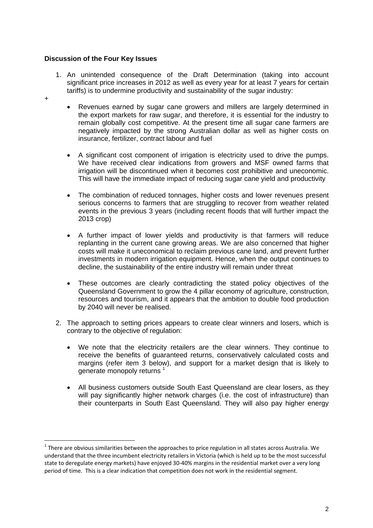## **Discussion of the Four Key Issues**

- 1. An unintended consequence of the Draft Determination (taking into account significant price increases in 2012 as well as every year for at least 7 years for certain tariffs) is to undermine productivity and sustainability of the sugar industry:
- +

l

- Revenues earned by sugar cane growers and millers are largely determined in the export markets for raw sugar, and therefore, it is essential for the industry to remain globally cost competitive. At the present time all sugar cane farmers are negatively impacted by the strong Australian dollar as well as higher costs on insurance, fertilizer, contract labour and fuel
- A significant cost component of irrigation is electricity used to drive the pumps. We have received clear indications from growers and MSF owned farms that irrigation will be discontinued when it becomes cost prohibitive and uneconomic. This will have the immediate impact of reducing sugar cane yield and productivity
- The combination of reduced tonnages, higher costs and lower revenues present serious concerns to farmers that are struggling to recover from weather related events in the previous 3 years (including recent floods that will further impact the 2013 crop)
- A further impact of lower yields and productivity is that farmers will reduce replanting in the current cane growing areas. We are also concerned that higher costs will make it uneconomical to reclaim previous cane land, and prevent further investments in modern irrigation equipment. Hence, when the output continues to decline, the sustainability of the entire industry will remain under threat
- These outcomes are clearly contradicting the stated policy objectives of the Queensland Government to grow the 4 pillar economy of agriculture, construction, resources and tourism, and it appears that the ambition to double food production by 2040 will never be realised.
- 2. The approach to setting prices appears to create clear winners and losers, which is contrary to the objective of regulation:
	- We note that the electricity retailers are the clear winners. They continue to receive the benefits of quaranteed returns, conservatively calculated costs and margins (refer item 3 below), and support for a market design that is likely to generate monopoly returns<sup>1</sup>
	- All business customers outside South East Queensland are clear losers, as they will pay significantly higher network charges (i.e. the cost of infrastructure) than their counterparts in South East Queensland. They will also pay higher energy

 $1$  There are obvious similarities between the approaches to price regulation in all states across Australia. We understand that the three incumbent electricity retailers in Victoria (which is held up to be the most successful state to deregulate energy markets) have enjoyed 30‐40% margins in the residential market over a very long period of time. This is a clear indication that competition does not work in the residential segment.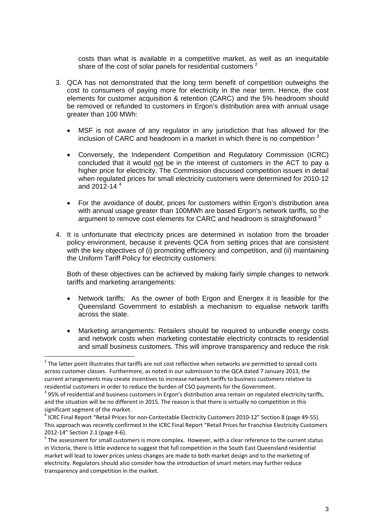costs than what is available in a competitive market, as well as an inequitable share of the cost of solar panels for residential customers  $<sup>2</sup>$ </sup>

- 3. QCA has not demonstrated that the long term benefit of competition outweighs the cost to consumers of paying more for electricity in the near term. Hence, the cost elements for customer acquisition & retention (CARC) and the 5% headroom should be removed or refunded to customers in Ergon's distribution area with annual usage greater than 100 MWh:
	- MSF is not aware of any regulator in any jurisdiction that has allowed for the inclusion of CARC and headroom in a market in which there is no competition  $3$
	- Conversely, the Independent Competition and Regulatory Commission (ICRC) concluded that it would not be in the interest of customers in the ACT to pay a higher price for electricity. The Commission discussed competition issues in detail when regulated prices for small electricity customers were determined for 2010-12 and 2012-14 $4$
	- For the avoidance of doubt, prices for customers within Ergon's distribution area with annual usage greater than 100MWh are based Ergon's network tariffs, so the argument to remove cost elements for CARC and headroom is straightforward <sup>5</sup>
- 4. It is unfortunate that electricity prices are determined in isolation from the broader policy environment, because it prevents QCA from setting prices that are consistent with the key objectives of (i) promoting efficiency and competition, and (ii) maintaining the Uniform Tariff Policy for electricity customers:

Both of these objectives can be achieved by making fairly simple changes to network tariffs and marketing arrangements:

- Network tariffs: As the owner of both Ergon and Energex it is feasible for the Queensland Government to establish a mechanism to equalise network tariffs across the state.
- Marketing arrangements: Retailers should be required to unbundle energy costs and network costs when marketing contestable electricity contracts to residential and small business customers. This will improve transparency and reduce the risk

l

 $2$  The latter point illustrates that tariffs are not cost reflective when networks are permitted to spread costs across customer classes. Furthermore, as noted in our submission to the QCA dated 7 January 2013, the current arrangements may create incentives to increase network tariffs to business customers relative to residential customers in order to reduce the burden of CSO payments for the Government.<br><sup>3</sup> 95% of residential and business customers in Ergon's distribution area remain on regulated electricity tariffs,

and the situation will be no different in 2015. The reason is that there is virtually no competition in this significant segment of the market.<br><sup>4</sup> ICRC Final Report "Retail Prices for non‐Contestable Electricity Customers 2010‐12" Section 8 (page 49‐55).

This approach was recently confirmed in the ICRC Final Report "Retail Prices for Franchise Electricity Customers 2012-14" Section 2.1 (page 4-6).<br><sup>5</sup> The assessment for small customers is more complex. However, with a clear reference to the current status

in Victoria, there is little evidence to suggest that full competition in the South East Queensland residential market will lead to lower prices unless changes are made to both market design and to the marketing of electricity. Regulators should also consider how the introduction of smart meters may further reduce transparency and competition in the market.